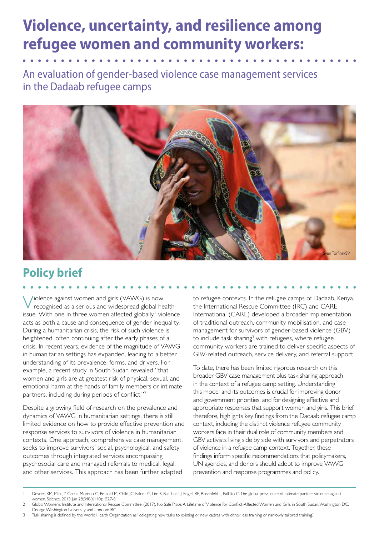# **Violence, uncertainty, and resilience among refugee women and community workers:**

An evaluation of gender-based violence case management services in the Dadaab refugee camps



## **Policy brief**

Violence against women and girls (VAWG) is now recognised as a serious and widespread global health issue. With one in three women affected globally,<sup>1</sup> violence acts as both a cause and consequence of gender inequality. During a humanitarian crisis, the risk of such violence is heightened, often continuing after the early phases of a crisis. In recent years, evidence of the magnitude of VAWG in humanitarian settings has expanded, leading to a better understanding of its prevalence, forms, and drivers. For example, a recent study in South Sudan revealed "that women and girls are at greatest risk of physical, sexual, and emotional harm at the hands of family members or intimate partners, including during periods of conflict."2

Despite a growing field of research on the prevalence and dynamics of VAWG in humanitarian settings, there is still limited evidence on how to provide effective prevention and response services to survivors of violence in humanitarian contexts. One approach, comprehensive case management, seeks to improve survivors' social, psychological, and safety outcomes through integrated services encompassing psychosocial care and managed referrals to medical, legal, and other services. This approach has been further adapted

to refugee contexts. In the refugee camps of Dadaab, Kenya, the International Rescue Committee (IRC) and CARE International (CARE) developed a broader implementation of traditional outreach, community mobilisation, and case management for survivors of gender-based violence (GBV) to include task sharing<sup>3</sup> with refugees, where refugee community workers are trained to deliver specific aspects of GBV-related outreach, service delivery, and referral support.

To date, there has been limited rigorous research on this broader GBV case management plus task sharing approach in the context of a refugee camp setting. Understanding this model and its outcomes is crucial for improving donor and government priorities, and for designing effective and appropriate responses that support women and girls. This brief, therefore, highlights key findings from the Dadaab refugee camp context, including the distinct violence refugee community workers face in their dual role of community members and GBV activists living side by side with survivors and perpetrators of violence in a refugee camp context. Together, these findings inform specific recommendations that policymakers, UN agencies, and donors should adopt to improve VAWG prevention and response programmes and policy.

- 1 Devries KM, Mak JY, Garcia-Moreno C, Petzold M, Child JC, Falder G, Lim S, Bacchus LJ, Engell RE, Rosenfeld L, Pallitto C. The global prevalence of intimate partner violence against women. Science. 2013 Jun 28;340(6140):1527-8.
- 2 Global Women's Institute and International Rescue Committee. (2017). No Safe Place: A Lifetime of Violence for Conflict-Affected Women and Girls in South Sudan. Washington DC: George Washington University and London: IRC.
- 3 Task sharing is defined by the World Health Organization as "delegating new tasks to existing or new cadres with either less training or narrowly tailored training."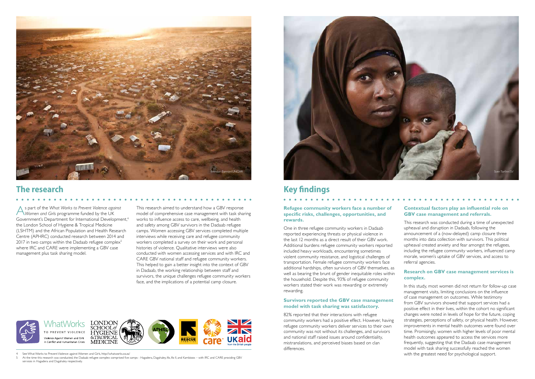**Refugee community workers face a number of specific risks, challenges, opportunities, and rewards.** 

One in three refugee community workers in Dadaab reported experiencing threats or physical violence in the last 12 months as a direct result of their GBV work. Additional burdens refugee community workers reported included heavy workloads, encountering sometimes violent community resistance, and logistical challenges of transportation. Female refugee community workers face additional hardships, often survivors of GBV themselves, as well as bearing the brunt of gender inequitable roles within the household. Despite this, 93% of refugee community workers stated their work was rewarding or extremely rewarding.

#### **Survivors reported the GBV case management model with task sharing was satisfactory.**

82% reported that their interactions with refugee community workers had a positive effect. However, having refugee community workers deliver services to their own community was not without its challenges, and survivors and national staff raised issues around confidentiality, mistranslations, and perceived biases based on clan differences.

5 At the time this research was conducted, the Dadaab refugee complex comprised five camps - Hagadera, Dagahaley, Ifo, Ifo II, and Kambioos – with IRC and CARE providing GBV services in Hagadera and Dagahaley respectively.

### **Contextual factors play an influential role on GBV case management and referrals.**

. . . . . . . . . . . . .

This research was conducted during a time of unexpected upheaval and disruption in Dadaab, following the announcement of a (now-delayed) camp closure three months into data collection with survivors. This political upheaval created anxiety and fear amongst the refugees, including the refugee community workers, influenced camp morale, women's uptake of GBV services, and access to referral agencies.

### **Research on GBV case management services is complex.**

In this study, most women did not return for follow-up case management visits, limiting conclusions on the influence of case management on outcomes. While testimony from GBV survivors showed that support services had a positive effect in their lives, within the cohort no significant changes were noted in levels of hope for the future, coping strategies, perceptions of safety, or physical health. However, improvements in mental health outcomes were found over time. Promisingly, women with higher levels of poor mental health outcomes appeared to access the services more frequently, suggesting that the Dadaab case management model with task sharing successfully reached the women with the greatest need for psychological support.

As part of the *What Works to Prevent Violence against Women and Girls* programme funded by the UK Government's Department for International Development<sup>4</sup> the London School of Hygiene & Tropical Medicine (LSHTM) and the African Population and Health Research Centre (APHRC) conducted research between 2014 and 2017 in two camps within the Dadaab refugee complex $5$ where IRC and CARE were implementing a GBV case management plus task sharing model.

This research aimed to understand how a GBV response model of comprehensive case management with task sharing works to influence access to care, wellbeing, and health and safety among GBV survivors in the Dadaab refugee camps. Women accessing GBV services completed multiple interviews while receiving care and refugee community workers completed a survey on their work and personal histories of violence. Qualitative interviews were also conducted with women accessing services and with IRC and CARE GBV national staff and refugee community workers. This helped to gain a better insight into the context of GBV in Dadaab, the working relationship between staff and survivors, the unique challenges refugee community workers face, and the implications of a potential camp closure.

. . . . . . . . . . . . . . . . . . .



See What Works to Prevent Violence against Women and Girls, http://whatworks.co.za/





### **The research <b>Key findings Key findings**